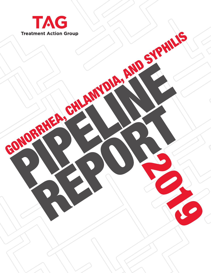

2019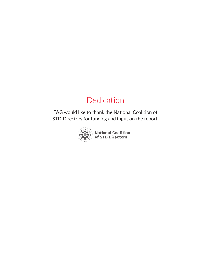# Dedication

TAG would like to thank the National Coalition of STD Directors for funding and input on the report.

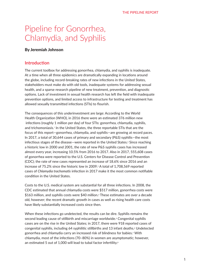# Pipeline for Gonorrhea, Chlamydia, and Syphilis

# By Jeremiah Johnson

# **Introduction**

The current toolbox for addressing gonorrhea, chlamydia, and syphilis is inadequate. At a time when all three epidemics are dramatically expanding in locations around the globe, including record-breaking rates of new infections in the United States, stakeholders must make do with old tools, inadequate systems for addressing sexual health, and a sparse research pipeline of new treatment, prevention, and diagnostic options. Lack of investment in sexual health research has left the field with inadequate prevention options, and limited access to infrastructure for testing and treatment has allowed sexually transmitted infections (STIs) to flourish.

The consequences of this underinvestment are large: According to the World Health Organization (WHO), in 2016 there were an estimated 376 million new infections (roughly 1 million per day) of four STIs: gonorrhea, chlamydia, syphilis, and trichomoniasis.<sup>1</sup> In the United States, the three reportable STIs that are the focus of this report—gonorrhea, chlamydia, and syphilis—are growing at record paces. In 2017, a total of 30,644 cases of primary and secondary (P&S) syphilis—the most infectious stages of the disease—were reported in the United States.<sup>2</sup> Since reaching a historic low in 2000 and 2001, the rate of new P&S syphilis cases has increased almost every year, increasing 10.5% from 2016 to 2017. Also in 2017, 555,608 cases of gonorrhea were reported to the U.S. Centers for Disease Control and Prevention (CDC); the rate of new cases represented an increase of 18.6% since 2016 and an increase of 75.2% since the historic low in 2009.<sup>3</sup> A total of 1,708,569 reported cases of *Chlamydia trachomatis* infection in 2017 make it the most common notifiable condition in the United States.

Costs to the U.S. medical system are substantial for all three infections. In 2008, the CDC estimated that annual chlamydia costs were \$517 million, gonorrhea costs were \$163 million, and syphilis costs were \$40 million.<sup>4</sup> These estimates are over a decade old, however; the recent dramatic growth in cases as well as rising health care costs have likely substantially increased costs since then.

When these infections go undetected, the results can be dire. Syphilis remains the second leading cause of stillbirth and miscarriage worldwide.<sup>5</sup> Congenital syphilis cases are on the rise in the United States; in 2017, there were 918 reported cases of congenital syphilis, including 64 syphilitic stillbirths and 13 infant deaths.<sup>6</sup> Undetected gonorrhea and chlamydia carry an increased risk of blindness for babies.<sup>7</sup> With chlamydia, most of the infections (70–80%) in women are asymptomatic; however, an estimated 5 out of 1,000 will lead to tubal factor infertility.<sup>8</sup>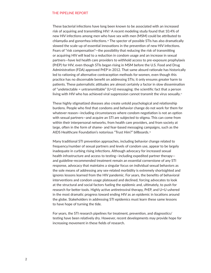These bacterial infections have long been known to be associated with an increased risk of acquiring and transmitting HIV.<sup>9</sup> A recent modeling study found that 10.4% of new HIV infections among men who have sex with men (MSM) could be attributed to chlamydia and gonorrhea infections.<sup>10</sup> The specter of possible STIs has also dramatically slowed the scale-up of essential innovations in the prevention of new HIV infections. Fears of "risk compensation"—the possibility that reducing the risk of transmitting or acquiring HIV will lead to a reduction in condom usage and an increase in sexual partners—have led health care providers to withhold access to pre-exposure prophylaxis (PrEP) for HIV, even though STIs began rising in MSM before the U.S. Food and Drug Administration (FDA) approved PrEP in 2012. That same absurd rationale has historically led to rationing of alternative contraception methods for women, even though this practice has no discernable benefit on addressing STIs; it only ensures greater harm to patients. These paternalistic attitudes are almost certainly a factor in slow dissemination of "undetectable = untransmittable"  $(U=U)$  messaging: the scientific fact that a person living with HIV who has achieved viral suppression cannot transmit the virus sexually.<sup>11</sup>

These highly stigmatized diseases also create untold psychological and relationship burdens. People who find that condoms and behavior change do not work for them for whatever reason—including circumstances where condom negotiation is not an option with sexual partners—and acquire an STI are subjected to stigma. This can come from within their interpersonal networks, from health care providers, and from society at large, often in the form of shame- and fear-based messaging campaigns, such as the AIDS Healthcare Foundation's notorious "Trust Him?" billboards.<sup>12</sup>

Many traditional STI prevention approaches, including behavior change related to frequency/number of sexual partners and levels of condom use, appear to be largely inadequate in curbing rising infections. Although advocacy for increased sexual health infrastructure and access to testing—including expedited partner therapy and guideline-recommended treatment remain an essential cornerstone of any STI response, advocacy that maintains a singular focus on individual sexual behaviors as the sole means of addressing any sex-related morbidity is extremely shortsighted and ignores lessons learned from the HIV pandemic. For years, the benefits of behavioral interventions and condom usage plateaued and declined, forcing advocates to look at the structural and social factors fueling the epidemic and, ultimately, to push for research for better tools. Highly active antiretroviral therapy, PrEP, and U=U ushered in the most dramatic progress toward ending HIV as an epidemic in locations around the globe. Stakeholders in addressing STI epidemics must learn these same lessons to have hope of turning the tide.

For years, the STI research pipelines for treatment, prevention, and diagnostics/ testing have been relatively dry. However, recent developments may provide hope for increasing movement in these fields of research.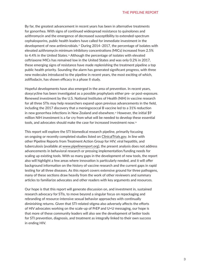By far, the greatest advancement in recent years has been in alternative treatments for gonorrhea. With signs of continued widespread resistance to quinolones and azithromycin and the emergence of decreased susceptibility to extended-spectrum cephalosporins, public health leaders have called for immediate investment in the development of new antimicrobials.13 During 2014–2017, the percentage of isolates with elevated azithromycin minimum inhibitory concentrations (MICs) increased from 2.5% to 4.4% in the United States.14 Although the percentage of isolates with elevated ceftriaxone MICs has remained low in the United States and was only 0.2% in 2017, these emerging signs of resistance have made replenishing the treatment pipeline a top public health priority. Sounding the alarm has generated significant progress, with three new molecules introduced to the pipeline in recent years, the most exciting of which, zoliflodacin, has shown efficacy in a phase II study.

Hopeful developments have also emerged in the area of prevention. In recent years, doxycycline has been investigated as a possible prophylaxis either pre- or post-exposure. Renewed investment by the U.S. National Institutes of Health (NIH) in vaccine research for all three STIs may help researchers expand upon previous advancements in the field, including the 2017 discovery that a meningococcal B vaccine led to a 31% reduction in new gonorrhea infections in New Zealand and elsewhere.<sup>15</sup> However, the initial \$9 million NIH investment is a far cry from what will be needed to develop these essential tools, and advocates should make the case for increased investment now.<sup>16</sup>

This report will explore the STI biomedical research pipeline, primarily focusing on ongoing or recently completed studies listed on ClinicalTrials.gov. In line with other Pipeline Reports from Treatment Action Group for HIV, viral hepatitis, and tuberculosis (available at www.pipelinereport.org), the present analysis does not address advancements in behavioral research or pressing implementation/funding needs for scaling up existing tools. With so many gaps in the development of new tools, the report also will highlight a few areas where innovation is particularly needed, and it will offer background information on the history of vaccine research and the current gaps in rapid testing for all three diseases. As this report covers extensive ground for three pathogens, many of these sections draw heavily from the work of other reviewers and summary articles to familiarize advocates and other readers with key arguments and resources.

Our hope is that this report will generate discussion on, and investment in, sustained research advocacy for STIs, to move beyond a singular focus on repackaging and rebranding of resource-intensive sexual behavior approaches with continually diminishing returns. Given that STI-related stigma also adversely affects the efforts of HIV advocates working on the scale-up of PrEP and U=U messaging, our hope is that more of these community leaders will also see the development of better tools for STI prevention, diagnosis, and treatment as integrally linked to their own success in ending HIV.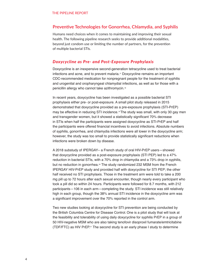# **Preventive Technologies for Gonorrhea, Chlamydia, and Syphilis**

Humans need choices when it comes to maintaining and improving their sexual health. The following pipeline research seeks to provide additional modalities, beyond just condom use or limiting the number of partners, for the prevention of multiple bacterial STIs.

### *Doxycycline as Pre- and Post-Exposure Prophylaxis*

Doxycycline is an inexpensive second-generation tetracycline used to treat bacterial infections and acne, and to prevent malaria.<sup>17</sup> Doxycycline remains an important CDC-recommended medication for nonpregnant people for the treatment of syphilis and urogenital and oropharyngeal chlamydial infections, as well as for those with a penicillin allergy who cannot take azithromycin.<sup>18</sup>

In recent years, doxycycline has been investigated as a possible bacterial STI prophylaxis either pre- or post-exposure. A small pilot study released in 2015 demonstrated that doxycycline provided as a pre-exposure prophylaxis (STI-PrEP) may be effective in reducing STI incidence.19 The study was small, with only 30 gay men and transgender women, but it showed a statistically significant 70% decrease in STIs when half the participants were assigned doxycycline as STI-PrEP and half the participants were offered financial incentives to avoid infections. Absolute numbers of syphilis, gonorrhea, and chlamydia infections were all lower in the doxycycline arm; however, the study was too small to provide statistically significant reductions when infections were broken down by disease.

A 2018 substudy of IPERGAY– a French study of oral HIV-PrEP users—showed that doxycycline provided as a post-exposure prophylaxis (STI PEP) led to a 47% reduction in bacterial STIs, with a 70% drop in chlamydia and a 73% drop in syphilis, but no reduction in gonorrhea.<sup>20</sup> The study randomized 232 MSM from the French IPERGAY HIV-PrEP study and provided half with doxycycline for STI PEP; the other half received no STI prophylaxis. Those in the treatment arm were told to take a 200 mg pill up to 72 hours after each sexual encounter, though nearly every participant who took a pill did so within 24 hours. Participants were followed for 8.7 months, with 212 participants—106 in each arm—completing the study. STI incidence was still relatively high in each group, though the 38% annual STI incidence in the doxycycline arm was a significant improvement over the 70% reported in the control arm.

Two new studies looking at doxycycline for STI prevention are being conducted by the British Columbia Centre for Disease Control. One is a pilot study that will look at the feasibility and tolerability of using daily doxycycline for syphilis PrEP in a group of 50 HIV-negative MSM who are also taking tenofovir disoproxil fumarate/emtricitabine (TDF/FTC) as HIV PrEP.21 The second study is an early phase I study to determine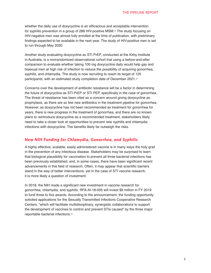whether the daily use of doxycycline is an efficacious and acceptable intervention for syphilis prevention in a group of 288 HIV-positive MSM.22 The study focusing on HIV-negative men was almost fully enrolled at the time of publication, with preliminary findings expected to be available in the next year. The study of HIV-positive men is set to run through May 2020.

Another study evaluating doxycycline as STI PrEP, conducted at the Kirby Institute in Australia, is a nonrandomized observational cohort trial using a before-and-after comparison to evaluate whether taking 100 mg doxycycline daily would help gay and bisexual men at high risk of infection to reduce the possibility of acquiring gonorrhea, syphilis, and chlamydia. The study is now recruiting to reach its target of 125 participants, with an estimated study completion date of December 2021.<sup>23</sup>

Concerns over the development of antibiotic resistance will be a factor in determining the future of doxycycline as STI PrEP or STI PEP, specifically in the case of gonorrhea. The threat of resistance has been cited as a concern around giving doxycycline as prophylaxis, as there are so few new antibiotics in the treatment pipeline for gonorrhea. However, as doxycycline has not been recommended as treatment for gonorrhea for years, there is new progress in the treatment of gonorrhea, and there are no known plans to reintroduce doxycycline as a recommended treatment, stakeholders likely need to take a closer look at opportunities to prevent new syphilis and chlamydia infections with doxycycline. The benefits likely far outweigh the risks.

### *New NIH Funding for Chlamydia, Gonorrhea, and Syphilis*

A highly effective, scalable, easily administered vaccine is in many ways the holy grail in the prevention of any infectious disease. Stakeholders may be surprised to learn that biological plausibility for vaccination to prevent all three bacterial infections has been previously established, and, in some cases, there have been significant recent advancements in this field of research. Often, it may appear that scientific barriers stand in the way of better interventions, yet in the case of STI vaccine research, it is more likely a question of investment.

In 2018, the NIH made a significant new investment in vaccine research for gonorrhea, chlamydia, and syphilis. RFA-AI-18-005 will invest \$9 million in FY 2019 to fund three to five awards. According to the announcement, the funding opportunity solicited applications for the Sexually Transmitted Infections Cooperative Research Centers, "which will facilitate multidisciplinary, synergistic collaborations to support the development of vaccines to control and prevent STIs caused" by the three major reportable bacterial infections.24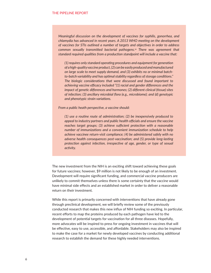*Meaningful discussion on the development of vaccines for syphilis, gonorrhea, and chlamydia has advanced in recent years. A 2013 WHO meeting on the development of vaccines for STIs outlined a number of targets and objectives in order to address common sexually transmitted bacterial pathogens.*25 *There was agreement that standard required qualities from a production standpoint will include a vaccine that:*

*(1) requires only standard operating procedures and equipment for generation of a high-quality vaccine product, (2) can be easily produced and manufactured on large scale to meet supply demand, and (3) exhibits no or minimal batchto-batch variability and has optimal stability regardless of storage conditions." The biologic considerations that were discussed and found important to achieving vaccine efficacy included "(1) racial and gender differences and the impact of genetic differences and hormones; (2) different clinical (tissue) sites of infection; (3) ancillary microbial flora (e.g., microbiome); and (d) genotypic and phenotypic strain variations.* 

*From a public heath perspective, a vaccine should:*

*(1) use a routine route of administration; (2) be inexpensively produced to appeal to industry partners and public health officials and ensure the vaccine reaches target groups; (3) achieve sufficient protection with a reasonable number of immunizations and a convenient immunization schedule to help achieve vaccinee return-visit compliance; (4) be administered safely with no adverse health consequences post-vaccination; and (5) provide long-lasting protection against infection, irrespective of age, gender, or type of sexual activity.*

The new investment from the NIH is an exciting shift toward achieving these goals for future vaccines; however, \$9 million is not likely to be enough of an investment. Development will require significant funding, and commercial vaccine producers are unlikely to commit themselves unless there is some certainty that the vaccine would have minimal side effects and an established market in order to deliver a reasonable return on their investment.

While this report is primarily concerned with interventions that have already gone through preclinical development, we will briefly review some of the previously conducted research that makes this new influx of NIH funding so exciting. In particular, recent efforts to map the proteins produced by each pathogen have led to the development of potential targets for vaccination for all three diseases. Hopefully, more advocates will be inspired to press for ongoing investment in vaccines that will be effective, easy to use, accessible, and affordable. Stakeholders may also be inspired to make the case for a market for newly developed vaccines by conducting additional research to establish the demand for these highly needed interventions.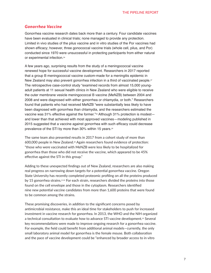### *Gonorrhea Vaccine*

Gonorrhea vaccine research dates back more than a century. Four candidate vaccines have been evaluated in clinical trials; none managed to provide any protection. Limited in vivo studies of the pilus vaccine and in vitro studies of the Por vaccines had shown efficacy; however, three gonococcal vaccine trials (whole cell, pilus, and Por) conducted since 1970 were unsuccessful in protecting participants from either natural or experimental infection.<sup>26</sup>

A few years ago, surprising results from the study of a meningococcal vaccine renewed hope for successful vaccine development. Researchers in 2017 reported that a group B meningococcal vaccine custom-made for a meningitis epidemic in New Zealand may also prevent gonorrhea infection in a third of vaccinated people.<sup>27</sup> The retrospective case-control study "examined records from almost 15,000 youngadult patients at 11 sexual health clinics in New Zealand who were eligible to receive the outer membrane vesicle meningococcal B vaccine (MeNZB) between 2004 and 2008 and were diagnosed with either gonorrhea or chlamydia, or both." Researchers found that patients who had received MeNZB "were substantially less likely to have been diagnosed with gonorrhea than chlamydia, and the researchers estimated the vaccine was 31% effective against the former."28 Although 31% protection is modestand lower than that achieved with most approved vaccines—modeling published in 2015 suggested that a vaccine against gonorrhea with such efficacy could decrease prevalence of the STI by more than 30% within 15 years.<sup>29</sup>

The same team also presented results in 2017 from a cohort study of more than 600,000 people in New Zealand.30 Again researchers found evidence of protection: "those who were vaccinated with MeNZB were less likely to be hospitalized for gonorrhea than those who did not receive the vaccine, which appeared to be 45% effective against the STI in this group."

Adding to these unexpected findings out of New Zealand, researchers are also making real progress on narrowing down targets for a potential gonorrhea vaccine. Oregon State University has recently completed proteomic profiling on all the proteins produced by 15 gonorrhea strains.31,32 For each strain, researchers divided the proteins into those found on the cell envelope and those in the cytoplasm. Researchers identified nine new potential vaccine candidates from more than 1,600 proteins that were found to be common among the strains.

These promising discoveries, in addition to the significant concerns posed by antimicrobial resistance, make this an ideal time for stakeholders to push for increased investment in vaccine research for gonorrhea. In 2013, the WHO and the NIH organized a technical consultation to evaluate how to advance STI vaccine development.33 Several key recommendations were made to improve ongoing research for a gonorrhea vaccine. For example, the field could benefit from additional animal models—currently, the only small laboratory animal model for gonorrhea is the female mouse. Both collaboration and the pace of vaccine development could be "enhanced by broader access to in vitro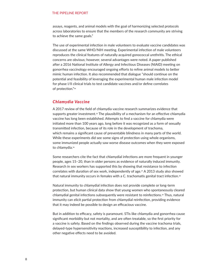assays, reagents, and animal models with the goal of harmonizing selected protocols across laboratories to ensure that the members of the research community are striving to achieve the same goals."

The use of experimental infection in male volunteers to evaluate vaccine candidates was discussed at the same WHO/NIH meeting. Experimental infection of male volunteers reproduces the clinical features of naturally acquired gonococcal urethritis. The ethical concerns are obvious; however, several advantages were noted. A paper published after a 2016 National Institute of Allergy and Infectious Diseases (NIAID) meeting on gonorrhea vaccinology encouraged ongoing efforts to refine animal models to better mimic human infection. It also recommended that dialogue "should continue on the potential and feasibility of leveraging the experimental human male infection model for phase I/II clinical trials to test candidate vaccines and/or define correlates of protection."<sup>34</sup>

### *Chlamydia Vaccine*

A 2017 review of the field of chlamydia vaccine research summarizes evidence that supports greater investment.<sup>35</sup> The plausibility of a mechanism for an effective chlamydia vaccine has long been established. Attempts to find a vaccine for chlamydia were initiated more than 100 years ago, long before it was recognized as a form of sexually transmitted infection, because of its role in the development of trachoma, which remains a significant cause of preventable blindness in many parts of the world. While these experiments did see some signs of protection using whole organisms, some immunized people actually saw worse disease outcomes when they were exposed to chlamydia.<sup>36</sup>

Some researchers cite the fact that chlamydial infections are more frequent in younger people, ages 15–20, than in older persons as evidence of naturally induced immunity. Research in sex workers has supported this by showing that resistance to infection correlates with duration of sex work, independently of age.<sup>37</sup> A 2013 study also showed that natural immunity occurs in females with a C. trachomatis genital tract infection.<sup>38</sup>

Natural immunity to chlamydial infection does not provide complete or long-term protection, but human clinical data show that young women who spontaneously cleared chlamydial genital infections subsequently were resistant to reinfections.<sup>39</sup> Thus, natural immunity can elicit partial protection from chlamydial reinfection, providing evidence that it may indeed be possible to design an efficacious vaccine.

But in addition to efficacy, safety is paramount. STIs like chlamydia and gonorrhea cause significant morbidity but not mortality, and are often treatable, so the first priority for a vaccine is safety. Based on the findings observed during the vaccine trachoma trials, delayed-type hypersensitivity reactions, increased susceptibility to infection, and any other negative effects need to be avoided.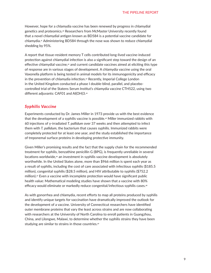However, hope for a chlamydia vaccine has been renewed by progress in chlamydial genetics and proteomics.40 Researchers from McMaster University recently found that a novel chlamydial antigen known as BD584 is a potential vaccine candidate for chlamydia.41 Administering BD584 through the nose was shown to reduce chlamydial shedding by 95%.

A report that tissue-resident memory T cells contributed long-lived vaccine-induced protection against chlamydial infection is also a significant step toward the design of an effective chlamydial vaccine,42 and current candidate vaccines aimed at eliciting this type of response are in various stages of development. A chlamydia vaccine using the oral Vaxonella platform is being tested in animal models for its immunogenicity and efficacy in the prevention of chlamydia infection.<sup>43</sup> Recently, Imperial College London in the United Kingdom conducted a phase I double-blind, parallel, and placebocontrolled trial of the Statens Serum Institut's chlamydia vaccine CTH522, using two different adjuvants: CAF01 and Al(OH)3.<sup>44</sup>

## *Syphilis Vaccine*

Experiments conducted by Dr. James Miller in 1973 provide us with the best evidence that the development of a syphilis vaccine is possible.45 Miller immunized rabbits with 60 injections of γ-irradiated *T. pallidum* over 37 weeks and then attempted to infect them with *T. pallidum*, the bacterium that causes syphilis. Immunized rabbits were completely protected for at least one year, and the study established the importance of treponemal surface proteins in developing protective immunity.

Given Miller's promising results and the fact that the supply chain for the recommended treatment for syphilis, benzathine penicillin G (BPG), is frequently unreliable in several locations worldwide,<sup>46</sup> an investment in syphilis vaccine development is absolutely worthwhile. In the United States alone, more than \$966 million is spent each year as a result of syphilis, including the cost of care associated with infectious syphilis (\$185.5 million), congenital syphilis (\$28.5 million), and HIV attributable to syphilis (\$752.2 million). $47$  Even a vaccine with incomplete protection would have significant public health value: Mathematical modeling studies have shown that a vaccine with 80% efficacy would eliminate or markedly reduce congenital/infectious syphilis cases.<sup>48</sup>

As with gonorrhea and chlamydia, recent efforts to map all proteins produced by syphilis and identify unique targets for vaccination have dramatically improved the outlook for the development of a vaccine. University of Connecticut researchers have identified outer membrane proteins that vary the least across strains and are now collaborating with researchers at the University of North Carolina to enroll patients in Guangzhou, China, and Lilongwe, Malawi, to determine whether the syphilis strains they have been studying are similar to strains in those countries.<sup>49</sup>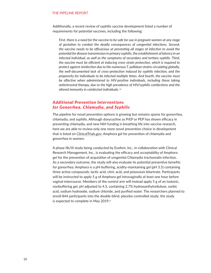Additionally, a recent review of syphilis vaccine development listed a number of requirements for potential vaccines, including the following:

*First, there is a need for the vaccine to be safe for use in pregnant women at any stage of gestation to combat the deadly consequences of congenital infections. Second, the vaccine needs to be efficacious at preventing all stages of infection to avoid the potential for disease transmission in primary syphilis, the establishment of latency in an infected individual, as well as the symptoms of secondary and tertiary syphilis. Third, the vaccine must be efficient at inducing cross-strain protection, which is required to protect against reinfection due to the numerous T. pallidum strains circulating globally, the well-documented lack of cross-protection induced by syphilis infection, and the propensity for individuals to be infected multiple times. And fourth, the vaccine must be effective when administered to HIV-positive individuals, including those taking antiretroviral therapy, due to the high prevalence of HIV/syphilis coinfections and the altered immunity in coinfected individuals.*<sup>50</sup>

# *Additional Prevention Interventions for Gonorrhea, Chlamydia, and Syphilis*

The pipeline for novel prevention options is growing but remains sparse for gonorrhea, chlamydia, and syphilis. Although doxycycline as PrEP or PEP has shown efficacy in preventing chlamydia, and new NIH funding is breathing life into vaccine research, here we are able to review only one more novel prevention choice in development that is listed on ClinicalTrials.gov: Amphora gel for prevention of chlamydia and gonorrhea in women.

A phase IIb/III study being conducted by Evofem, Inc., in collaboration with Clinical Research Management, Inc., is evaluating the efficacy and acceptability of Amphora gel for the prevention of acquisition of urogenital Chlamydia trachomatis infection. As a secondary outcome, the study will also evaluate its potential preventive benefits for gonorrhea. Amphora is a pH-buffering, acidity-maintaining gel (pH 3.5) containing three active compounds: lactic acid, citric acid, and potassium bitartrate. Participants will be instructed to apply 5 g of Amphora gel intravaginally at least one hour before vaginal intercourse. Members of the control arm will instead apply 5 g of an isotonic, nonbuffering gel, pH adjusted to 4.5, containing 2.7% hydroxyethylcellulose, sorbic acid, sodium hydroxide, sodium chloride, and purified water. The researchers planned to enroll 844 participants into the double-blind, placebo-controlled study; the study is expected to complete in May 2019.51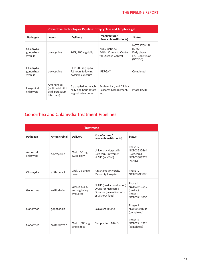| <b>Preventive Technologies Pipeline: doxycycline and Amphora gel</b> |                                                                       |                                                                        |                                                                   |                                                                   |  |
|----------------------------------------------------------------------|-----------------------------------------------------------------------|------------------------------------------------------------------------|-------------------------------------------------------------------|-------------------------------------------------------------------|--|
| Pathogen                                                             | Agent                                                                 | <b>Delivery</b>                                                        | Manufacturer/<br><b>Research Institution(s)</b>                   | <b>Status</b>                                                     |  |
| Chlamydia,<br>gonorrhea,<br>syphilis                                 | doxycycline                                                           | PrEP, 100 mg daily                                                     | Kirby Institute<br>British Columbia Centre<br>for Disease Control | NCT03709459<br>(Kirby)<br>Early phase I<br>NCT02864550<br>(BCCDC) |  |
| Chlamydia,<br>gonorrhea,<br>syphilis                                 | doxycycline                                                           | PEP, 200 mg up to<br>72 hours following<br>possible exposure           | <b>IPERGAY</b>                                                    | Completed                                                         |  |
| Urogenital<br>chlamydia                                              | Amphora gel<br>(lactic acid, citric<br>acid, potassium<br>bitartrate) | 5 g applied intravagi-<br>nally one hour before<br>vaginal intercourse | Evofem, Inc., and Clinical<br>Research Management,<br>Inc.        | Phase IIb/III                                                     |  |

# **Gonorrhea and Chlamydia Treatment Pipelines**

| <b>Treatment</b>       |               |                                                |                                                                                                           |                                                                 |
|------------------------|---------------|------------------------------------------------|-----------------------------------------------------------------------------------------------------------|-----------------------------------------------------------------|
| Pathogen               | Antimicrobial | <b>Delivery</b>                                | Manufacturer/<br><b>Research Institution(s)</b>                                                           | <b>Status</b>                                                   |
| Anorectal<br>chlamydia | doxycycline   | Oral, 100 mg<br>twice daily                    | University Hospital in<br>Bordeaux (in women)<br>NIAID (in MSM)                                           | Phase IV<br>NCT03532464<br>(Bordeaux)<br>NCT03608774<br>(NIAID) |
| Chlamydia              | azithromycin  | Oral, 1 g single<br>dose                       | Ain Shams University<br>Maternity Hospital                                                                | Phase IV<br>NCT03233880                                         |
| Gonorrhea              | zoliflodacin  | Oral, 2 g, 3 g,<br>and $4g$ being<br>evaluated | NIAID (cardiac evaluation)<br><b>Drugs for Neglected</b><br>Diseases (evaluation with<br>or without food) | Phase I<br>NCT03613649<br>(cardiac)<br>Phase I<br>NCT03718806   |
| Gonorrhea              | gepotidacin   |                                                | GlaxoSmithKline                                                                                           | Phase II<br>NCT02294682<br>(completed)                          |
| Gonorrhea              | solithromycin | Oral, 1,000 mg<br>single dose                  | Cempra, Inc., NIAID                                                                                       | Phase III<br>NCT02210325<br>(completed)                         |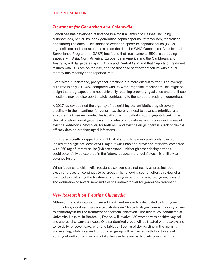### *Treatment for Gonorrhea and Chlamydia*

Gonorrhea has developed resistance to almost all antibiotic classes, including sulfonamides, penicillins, early-generation cephalosporins, tetracyclines, macrolides, and fluoroquinolones.<sup>52</sup> Resistance to extended-spectrum cephalosporins (ESCs, e.g., cefixime and ceftriaxone) is also on the rise; the WHO Gonococcal Antimicrobial Surveillance Programme (GASP) has found that "resistance to ESCs is spreading especially in Asia, North America, Europe, Latin America and the Caribbean, and Australia, with large data gaps in Africa and Central Asia" and that "reports of treatment failures with ESC are on the rise, and the first case of treatment failure with a dual therapy has recently been reported."53, 54

Even without resistance, pharyngeal infections are more difficult to treat: The average cure rate is only 79–84%, compared with 96% for urogenital infections.<sup>55</sup> This might be a sign that drug exposure is not sufficiently reaching oropharyngeal sites and that these infections may be disproportionately contributing to the spread of resistant gonorrhea.

A 2017 review outlined the urgency of replenishing the antibiotic drug discovery pipeline.56 In the meantime, for gonorrhea, there is a need to advance, prioritize, and evaluate the three new molecules (solithromycin, zoliflodacin, and gepotidacin) in the clinical pipeline, investigate new antimicrobial combinations, and reconsider the use of existing antibiotics. Moreover, for both new and existing drugs, there is a lack of clinical efficacy data on oropharyngeal infections.

Of note, a recently wrapped phase III trial of a fourth new molecule, delafloxacin, looked at a single oral dose of 900 mg but was unable to prove noninferiority compared with 250 mg of intramuscular (IM) ceftriaxone.<sup>57</sup> Although other dosing options could potentially be explored in the future, it appears that delafloxacin is unlikely to advance further.

When it comes to chlamydia, resistance concerns are not nearly as pressing, but treatment research continues to be crucial. The following section offers a review of a few studies evaluating the treatment of chlamydia before moving to ongoing research and evaluation of several new and existing antimicrobials for gonorrhea treatment.

### *New Research on Treating Chlamydia*

Although the vast majority of current treatment research is dedicated to finding new options for gonorrhea, there are two studies on ClinicalTrials.gov comparing doxycycline to azithromycin for the treatment of anorectal chlamydia. The first study, conducted at University Hospital in Bordeaux, France, will involve 460 women with positive vaginal and anorectal chlamydia swabs. One randomized group will be treated with doxycycline twice daily for seven days, with one tablet of 100 mg of doxycycline in the morning and evening, while a second randomized group will be treated with four tablets of 250 mg of azithromycin in one intake. Researchers are particularly concerned that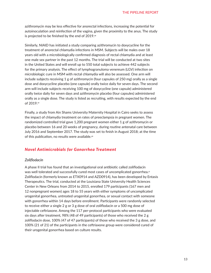azithromycin may be less effective for anorectal infections, increasing the potential for autoinoculation and reinfection of the vagina, given the proximity to the anus. The study is projected to be finished by the end of 2019.58

Similarly, NIAID has initiated a study comparing azithromycin to doxycycline for the treatment of anorectal chlamydia infections in MSM. Subjects will be males over 18 years old with a microbiologically confirmed diagnosis of rectal chlamydia and at least one male sex partner in the past 12 months. The trial will be conducted at two sites in the United States and will enroll up to 550 total subjects to achieve 442 subjects for the primary analysis. The effect of lymphogranuloma venereum (LGV) infection on microbiologic cure in MSM with rectal chlamydia will also be assessed. One arm will include subjects receiving 1 g of azithromycin (four capsules of 250 mg) orally as a single dose and doxycycline placebo (one capsule) orally twice daily for seven days. The second arm will include subjects receiving 100 mg of doxycycline (one capsule) administered orally twice daily for seven days and azithromycin placebo (four capsules) administered orally as a single dose. The study is listed as recruiting, with results expected by the end of 2019.<sup>59</sup>

Finally, a study from Ain Shams University Maternity Hospital in Cairo seeks to assess the impact of chlamydia treatment on rates of preeclampsia in pregnant women. The randomized controlled trial gave 1,200 pregnant women either 1 g of azithromycin or placebo between 16 and 20 weeks of pregnancy, during routine antenatal care between July 2016 and September 2017. The study was set to finish in August 2018; at the time of this publication, no results were available.<sup>60</sup>

## *Novel Antimicrobials for Gonorrhea Treatment*

### *Zoliflodacin*

A phase II trial has found that an investigational oral antibiotic called zoliflodacin was well tolerated and successfully cured most cases of uncomplicated gonorrhea.61 Zoliflodacin (formerly known as ETX0914 and AZD0914), has been developed by Entasis Therapeutics. The trial, conducted at the Louisiana State University Health Sciences Center in New Orleans from 2014 to 2015, enrolled 179 participants (167 men and 12 nonpregnant women) ages 18 to 55 years with either symptoms of uncomplicated urogenital gonorrhea, untreated urogenital gonorrhea, or sexual contact with someone with gonorrhea within 14 days before enrollment. Participants were randomly selected to receive either a single 2 g or 3 g dose of oral zoliflodacin or a 500 mg dose of injectable ceftriaxone. Among the 117 per-protocol participants who were evaluated six days after treatment, 98% (48 of 49 participants) of those who received the 2 g zoliflodacin dose, 100% (47 of 47 participants) of those who received the 3 g dose, and 100% (21 of 21) of the participants in the ceftriaxone group were considered cured of their urogenital gonorrhea based on culture results.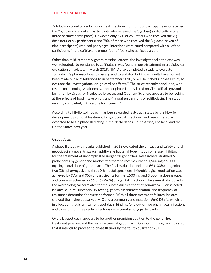Zoliflodacin cured all rectal gonorrheal infections (four of four participants who received the 2 g dose and six of six participants who received the 3 g dose) as did ceftriaxone (three of three participants). However, only 67% of volunteers who received the 2 g dose (four of six participants) and 78% of those who received the 3 g dose (seven of nine participants) who had pharyngeal infections were cured compared with all of the participants in the ceftriaxone group (four of four) who achieved a cure.

Other than mild, temporary gastrointestinal effects, the investigational antibiotic was well tolerated. No resistance to zoliflodacin was found in post-treatment microbiological evaluation of isolates. In March 2018, NIAID also completed a study to evaluate zoliflodacin's pharmacokinetics, safety, and tolerability, but those results have not yet been made public.62 Additionally, in September 2018, NIAID launched a phase I study to evaluate the investigational drug's cardiac effects.<sup>63</sup> The study recently concluded, with results forthcoming. Additionally, another phase I study listed on ClinicalTrials.gov and being run by Drugs for Neglected Diseases and Quotient Sciences appears to be looking at the effects of food intake on 3 g and 4 g oral suspensions of zoliflodacin. The study recently completed, with results forthcoming.<sup>64</sup>

According to NIAID, zoliflodacin has been awarded fast-track status by the FDA for development as an oral treatment for gonococcal infections, and researchers are expected to begin phase III testing in the Netherlands, South Africa, Thailand, and the United States next year.

### *Gepotidacin*

A phase II study with results published in 2018 evaluated the efficacy and safety of oral gepotidacin, a novel triazaacenaphthylene bacterial type II topoisomerase inhibitor, for the treatment of uncomplicated urogenital gonorrhea. Researchers stratified 69 participants by gender and randomized them to receive either a 1,500 mg or 3,000 mg single oral dose of gepotidacin. The final evaluation included 69 (100%) urogenital, two (3%) pharyngeal, and three (4%) rectal specimens. Microbiological eradication was achieved by 97% and 95% of participants for the 1,500 mg and 3,000 mg dose groups, and cure was achieved in 66 of 69 (96%) urogenital infections. The same study looked at the microbiological correlates for the successful treatment of gonorrhea.<sup>65</sup> For selected isolates, culture, susceptibility testing, genotypic characterization, and frequency of resistance determination were performed. With all three treatment failures, isolates showed the highest observed MIC and a common gene mutation, *ParC* D86N, which is in a location that is critical for gepotidacin binding. One out of two pharyngeal infections and three out of three rectal infections were cured among participants.<sup>66</sup>

Overall, gepotidacin appears to be another promising addition to the gonorrhea treatment pipeline, and the manufacturer of gepotidacin, GlaxoSmithKline, has indicated that it intends to proceed to phase III trials by the fourth quarter of 2019. $\sigma$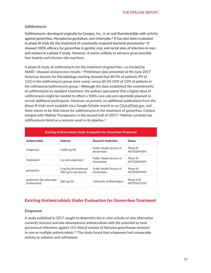### *Solithromycin*

Solithromycin, developed originally by Cempra, Inc., is an oral fluoroketolide with activity against gonorrhea, *Mycoplasma genitalium*, and chlamydia.<sup>68</sup> It has also been evaluated in phase III trials for the treatment of community-acquired bacterial pneumonia.<sup>69</sup> It showed 100% efficacy for gonorrhea in genital, oral, and rectal sites of infection in men and women in a phase II study. However, it seems unlikely to advance given possible liver toxicity and infusion-site reactions.

A phase III study of solithromycin for the treatment of gonorrhea—co-funded by NIAID—showed unimpressive results.70 Preliminary data presented at the June 2017 American Society for Microbiology meeting showed that 80.5% of patients (99 of 123) in the solithromycin group were cured, versus 84.5% (109 of 129) of patients in the ceftriaxone/azithromycin group.71 Although the data established the noninferiority of solithromycin to standard treatment, the authors speculated that a higher dose of solithromycin might be needed to effect a 100% cure rate and reportedly planned to recruit additional participants. However, at present, no additional publications from the phase III trials were available via a Google Scholar search or on ClinicalTrials.gov, and there seems to be little future for solithromycin in the treatment of gonorrhea. Cempra merged with Melinta Therapeutics in the second half of  $2017$ ;<sup> $n$ </sup> Melinta currently has solithromycin listed as a noncore asset in its pipeline.<sup>73</sup>

| <b>Existing Antimicrobials Under Evaluation for Gonorrhea Treatment</b> |                                             |                                       |                             |  |  |
|-------------------------------------------------------------------------|---------------------------------------------|---------------------------------------|-----------------------------|--|--|
| Antimicrobial                                                           | <b>Delivery</b>                             | <b>Research Institution</b>           | <b>Status</b>               |  |  |
| ertapenem                                                               | 1,000 mg IM                                 | Public Health Service of<br>Amsterdam | Phase III<br>NCT03294395    |  |  |
| fosfomycin                                                              | 6 g oral suspension                         | Public Health Service of<br>Amsterdam | Phase III<br>NCT03294395    |  |  |
| gentamicin                                                              | 5 mg/kg IM (maximum<br>400 mg in two doses) | Public Health Service of<br>Amsterdam | Phase III<br>NCT03294395    |  |  |
| gentamicin (for pharynge-<br>al infections)                             | 360 mg IM                                   | University of Washington              | Phase II/III<br>NCT03632109 |  |  |

# *Existing Antimicrobials Under Evaluation for Gonorrhea Treatment*

### *Ertapenem*

A study published in 2017 sought to determine the in vitro activity of nine alternative currently licensed and late-development antimicrobials with the potential to treat gonococcal infections against 112 clinical isolates of *Neisseria gonorrhoeae* resistant to one or multiple antimicrobials.<sup>74</sup> The study found that ertapenem had comparable activity to cefixime and ceftriaxone.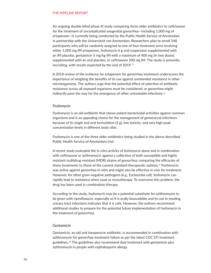An ongoing double-blind phase III study comparing three older antibiotics to ceftriaxone for the treatment of uncomplicated anogenital gonorrhea—including 1,000 mg of ertapenem—is currently being conducted by the Public Health Service of Amsterdam in partnership with the Universiteit van Amsterdam. Researchers plan to enroll 548 participants who will be randomly assigned to one of four treatment arms receiving either 1,000 mg IM ertapenem, fosfomycin 6 g oral suspension supplemented with an IM placebo, gentamicin 5 mg/kg IM with a maximum of 400 mg (in two doses) supplemented with an oral placebo, or ceftriaxone 500 mg IM. The study is presently recruiting, with results expected by the end of 2019.<sup>75</sup>

A 2018 review of the evidence for ertapenem for gonorrhea treatment underscores the importance of weighing the benefits of its use against unintended resistance in other microorganisms. The authors urge that the potential effect of selection of antibiotic resistance across all exposed organisms must be considered, or gonorrhea might indirectly pave the way for the emergence of other untreatable infections.<sup>76</sup>

### *Fosfomycin*

Fosfomycin is an old antibiotic that shows potent bactericidal activities against common organisms and is an appealing choice for the management of gonococcal infections because of its single and oral formulation (3 g), low toxicity, and very high peak concentration levels in different body sites.

Fosfomycin is one of the three older antibiotics being studied in the above-described Public Health Service of Amsterdam trial.

A recent study evaluated the in vitro activity of fosfomycin alone and in combination with ceftriaxone or azithromycin against a collection of both susceptible and highly resistant multidrug-resistant (MDR) strains of gonorrhea, comparing the efficacies of these treatments to those of the current standard therapeutic options.<sup>77</sup> Fosfomycin was active against gonorrhea in vitro and might also be effective in vivo for treatment. However, for other gram-negative pathogens (e.g., *Escherichia coli*), fosfomycin can rapidly lead to resistance when used as monotherapy. To overcome this problem, the drug has been used in combination therapy.

According to the study, fosfomycin may be a potential substitute for azithromycin to be given with ciprofloxacin, especially as it is orally bioavailable and its use in treating urinary tract infections indicates that it is safe. However, the authors recommend additional studies to prepare for the potential future implementation of fosfomycin in the treatment of gonorrhea.

### *Gentamicin*

Gentamicin, an old and inexpensive antibiotic, is recommended in combination with azithromycin for gonorrhea treatment failure as per the latest CDC STI treatment guidelines.<sup>78</sup> The guidelines also recommend dual treatment with gentamicin plus azithromycin in people with cephalosporin allergy.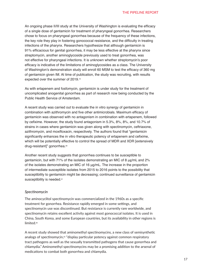An ongoing phase II/III study at the University of Washington is evaluating the efficacy of a single dose of gentamicin for treatment of pharyngeal gonorrhea. Researchers chose to focus on pharyngeal gonorrhea because of the frequency of these infections, the key role they play in fostering gonococcal resistance, and the difficulty in treating infections of the pharynx. Researchers hypothesize that although gentamicin is 91% efficacious for genital gonorrhea, it may be less effective at the pharynx since streptomycin, another aminoglycoside previously used to treat gonorrhea, was not effective for pharyngeal infections. It is unknown whether streptomycin's poor efficacy is indicative of the limitations of aminoglycosides as a class. The University of Washington's demonstration study will enroll 60 MSM to test the efficacy of 360 mg of gentamicin given IM. At time of publication, the study was recruiting, with results expected over the summer of 2019.<sup>79</sup>

As with ertapenem and fosfomycin, gentamicin is under study for the treatment of uncomplicated anogenital gonorrhea as part of research now being conducted by the Public Health Service of Amsterdam.

A recent study was carried out to evaluate the in vitro synergy of gentamicin in combination with azithromycin and five other antimicrobials. Maximum efficacy of gentamicin was observed with no antagonism in combination with ertapenem, followed by cefixime. However, the study found antagonism in 5.3%, 8%, 8%, and 10.7% of strains in cases where gentamicin was given along with spectinomycin, ceftriaxone, azithromycin, and moxifloxacin, respectively. The authors found that "gentamicin significantly enhances the in vitro therapeutic potency of ertapenem and cefixime, which will be potentially effective to control the spread of MDR and XDR [extensively drug-resistant]" gonorrhea.<sup>80</sup>

Another recent study suggests that gonorrhea continues to be susceptible to gentamicin, but with 71% of the isolates demonstrating an MIC of 8 μg/mL and 2% of the isolates demonstrating an MIC of 16 μg/mL. The increase in the proportion of intermediate susceptible isolates from 2015 to 2016 points to the possibility that susceptibility to gentamicin might be decreasing; continued surveillance of gentamicin susceptibility is needed.<sup>81</sup>

### *Spectinomycin*

The aminocyclitol spectinomycin was commercialized in the 1960s as a specific treatment for gonorrhea. Resistance rapidly emerged in some settings, and spectinomycin use was discontinued. But resistance is currently rare worldwide, and spectinomycin retains excellent activity against most gonococcal isolates. It is used in China, South Korea, and some European countries, but its availability in other regions is limited.<sup>82</sup>

A recent study showed that aminomethyl spectinomycins, a new class of semisynthetic analogs of spectinomycin,<sup>83</sup> "display particular potency against common respiratory tract pathogens as well as the sexually transmitted pathogens that cause gonorrhea and chlamydia." Aminomethyl spectinomycins may be a promising addition to the arsenal of medications to combat both gonorrhea and chlamydia.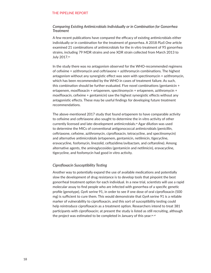### *Comparing Existing Antimicrobials Individually or in Combination for Gonorrhea Treatment*

A few recent publications have compared the efficacy of existing antimicrobials either individually or in combination for the treatment of gonorrhea. A 2018 *PLoS One* article examined 21 combinations of antimicrobials for the in vitro treatment of 95 gonorrhea strains, including 79 MDR strains and one XDR strain collected from March 2013 to July 2017.84

In the study there was no antagonism observed for the WHO-recommended regimens of cefixime + azithromycin and ceftriaxone + azithromycin combinations. The highest antagonism without any synergistic effect was seen with spectinomycin + azithromycin, which has been recommended by the WHO in cases of treatment failure. As such, this combination should be further evaluated. Five novel combinations (gentamicin + ertapenem, moxifloxacin + ertapenem, spectinomycin + ertapenem, azithromycin + moxifloxacin, cefixime + gentamicin) saw the highest synergistic effects without any antagonistic effects. These may be useful findings for developing future treatment recommendations.

The above-mentioned 2017 study that found ertapenem to have comparable activity to cefixime and ceftriaxone also sought to determine the in vitro activity of other currently licensed and late-development antimicrobials.<sup>85</sup> Agar dilution was used to determine the MICs of conventional antigonococcal antimicrobials (penicillin, ceftriaxone, cefixime, azithromycin, ciprofloxacin, tetracycline, and spectinomycin) and alternative antimicrobials (ertapenem, gentamicin, netilmicin, tigecycline, eravacycline, fosfomycin, linezolid, ceftazidime/avibactam, and ceftaroline). Among alternative agents, the aminoglycosides (gentamicin and netilmicin), eravacycline, tigecycline, and fosfomycin had good in vitro activity.

### *Ciprofloxacin Susceptibility Testing*

Another way to potentially expand the use of available medications and potentially slow the development of drug resistance is to develop tools that pinpoint the best gonorrheal treatment option for each individual. In a new trial, scientists will use a rapid molecular assay to find people who are infected with gonorrhea of a specific genetic profile (genotype), *GyrA* serine 91, in order to see if one dose of oral ciprofloxacin (500 mg) is sufficient to cure them. This would demonstrate that *GyrA* serine 91 is a reliable marker of vulnerability to ciprofloxacin, and this sort of susceptibility testing could help reintroduce ciprofloxacin as a treatment option. Researchers intend to treat 381 participants with ciprofloxacin; at present the study is listed as still recruiting, although the project was estimated to be completed in January of this year.<sup>86, 87</sup>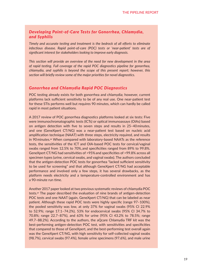# *Developing Point-of-Care Tests for Gonorrhea, Chlamydia, and Syphilis*

*Timely and accurate testing and treatment is the bedrock of all efforts to eliminate infectious disease. Rapid point-of-care (POC) tests or 'near-patient' tests are of significant interest for stakeholders looking to improve early diagnosis.* 

*This section will provide an overview of the need for new development in the area of rapid testing. Full coverage of the rapid POC diagnostics pipeline for gonorrhea, chlamydia, and syphilis is beyond the scope of this present report; however, this section will briefly review some of the major priorities for novel diagnostics.*

## *Gonorrhea and Chlamydia Rapid POC Diagnostics*

POC testing already exists for both gonorrhea and chlamydia; however, current platforms lack sufficient sensitivity to be of any real use. One near-patient test for these STIs performs well but requires 90 minutes, which can hardly be called rapid in most patient situations.

A 2017 review of POC gonorrhea diagnostics platforms looked at six tests: Five were immunochromatographic tests (ICTs) or optical immunoassays (OIAs) based on antigen detection with five to seven steps and results in 25–40 minutes, and one (GeneXpert CT/NG) was a near-patient test based on nucleic acid amplification technique (NAAT) with three steps, electricity required, and results in 90 minutes.<sup>88</sup> When compared with laboratory-based NAATs as the reference tests, the sensitivities of the ICT and OIA-based POC tests for cervical/vaginal swabs ranged from 12.5% to 70%, and specificities ranged from 89% to 99.8%. GeneXpert CT/NG had sensitivities of >95% and specificities of >99.8% across all specimen types (urine, cervical swabs, and vaginal swabs). The authors concluded that the antigen-detection POC tests for gonorrhea "lacked sufficient sensitivity to be used for screening" and that although GeneXpert CT/NG had acceptable performance and involved only a few steps, it has several drawbacks, as the platform needs electricity and a temperature-controlled environment and has a 90-minute run time.

Another 2017 paper looked at two previous systematic reviews of chlamydia POC tests.89 The paper described the evaluation of nine brands of antigen-detection POC tests and one NAAT (again, GeneXpert CT/NG) that can be labeled as near patient. Although these rapid POC tests were highly specific (range 97–100%), the pooled sensitivity was low, at only 37% for vaginal swabs (95% CI 22.9% to 52.9%; range 17.1–74.2%), 53% for endocervical swabs (95% CI 34.7% to 70.8%; range 22.7–87%), and 63% for urine (95% CI 43.2% to 78.5%; range 49.7–88.2%). According to the authors, the aQcare Chlamydia TRF kit was the best-performing antigen-detection POC test, with sensitivities and specificities that compared to those of GeneXpert, and the best-performing test overall again was the GeneXpert CT/NG, with high sensitivity for self-collected vaginal swabs (98.7%), cervical swabs (97.4%), female urine specimens (97.6%), and male urine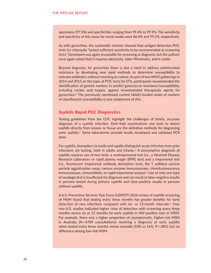specimens (97.5%) and specificities ranging from 99.4% to 99.9%. The sensitivity and specificity of this assay for rectal swabs were 86.0% and 99.2%, respectively.

As with gonorrhea, the systematic reviews showed that antigen-detection POC tests for chlamydia "lacked sufficient sensitivity to be recommended as screening tests." GeneXpert was again acceptable for screening or diagnosis, but the authors once again noted that it requires electricity, takes 90 minutes, and is costly.

Beyond diagnosis, for gonorrhea there is also a need to address antimicrobial resistance by developing new rapid methods to determine susceptibility to relevant antibiotics without resorting to culture. As part of two WHO gatherings in 2014 and 2015 on the topic of POC tests for STIs, participants recommended the identification of genetic markers to predict gonococcal resistance/susceptibility, including nucleic acid targets, against recommended therapeutic agents for gonorrhea.90 The previously mentioned current NIAID-funded study of markers of ciprofloxacin susceptibility is one component of this.

# *Syphilis Rapid POC Diagnostics*

Testing guidelines from the CDC highlight the challenges of timely, accurate diagnosis of a syphilis infection. Dark-field examinations and tests to detect syphilis directly from lesions or tissue are the definitive methods for diagnosing early syphilis.<sup>91</sup> Some laboratories provide locally developed and validated PCR tests.

For syphilis, biomarkers to easily and rapidly distinguish acute infection from prior infections are lacking, both in adults and infants.<sup>92</sup> A presumptive diagnosis of syphilis requires use of two tests: a nontreponemal test (i.e., a Venereal Disease Research Laboratory or rapid plasma reagin [RPR] test) and a treponemal test (i.e., fluorescent treponemal antibody absorption tests, the *T. pallidum* passive particle agglutination assay, various enzyme immunoassays, chemiluminescence immunoassays, immunoblots, or rapid treponemal assays).<sup>93</sup> Use of only one type of serologic test is insufficient for diagnosis and can result in false-negative results in persons tested during primary syphilis and false-positive results in persons without syphilis.

A U.S. Preventive Services Task Force (USPSTF) 2016 review of syphilis screening of MSM found that testing every three months has greater benefits for early detection of new infections compared with six- or 12-month intervals.<sup>94</sup> Four non-U.S. studies indicated higher rates of detection with screening every three months versus six or 12 months for early syphilis in HIV-positive men or MSM. For example, there was a higher proportion of asymptomatic, higher-risk MSM in Australia (N = 6789 consultations) receiving a diagnosis of early syphilis when tested every three months versus annually  $(53\% \text{ vs } 16\%, P = .001)$ , but no difference among low-risk MSM.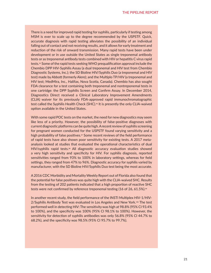There is a need for improved rapid testing for syphilis, particularly if testing among MSM is ever to scale up to the degree recommended by the USPSTF. Quick, accurate diagnosis with rapid testing alleviates the possibility of an individual falling out of contact and not receiving results, and it allows for early treatment and reduction of the risk of onward transmission. Many rapid tests have been under development or in use outside the United States as single treponemal antibody tests or as treponemal antibody tests combined with HIV or hepatitis C virus rapid tests.<sup>95</sup> Some of the rapid tests seeking WHO prequalification approval include the Chembio DPP HIV-Syphilis Assay (a dual treponemal and HIV test from Chembio Diagnostic Systems, Inc.); the SD Bioline HIV/Syphilis Duo (a treponemal and HIV test) made by Abbott (formerly Alere); and the Multiplo TP/HIV (a treponemal and HIV test; MedMira, Inc., Halifax, Nova Scotia, Canada). Chembio has also sought FDA clearance for a test containing both treponemal and nontreponemal tests in one cartridge: the DPP Syphilis Screen and Confirm Assay. In December 2014, Diagnostics Direct received a Clinical Laboratory Improvement Amendments (CLIA) waiver for its previously FDA-approved rapid immunochromatographic test called the Syphilis Health Check (SHC).96 It is presently the only CLIA-waived option available in the United States.

With some rapid POC tests on the market, the need for new diagnostics may seem like less of a priority. However, the possibility of false-positive diagnoses with current diagnostic platforms can be quite high. A recent review of syphilis screening for pregnant women conducted for the USPSTF found varying sensitivity and a high probability of false positives.<sup>97</sup> Some recent reviews of the field performance of rapid tests have also shown poor sensitivity for existing tests. A 2017 metaanalysis looked at studies that evaluated the operational characteristics of dual HIV/syphilis rapid tests.<sup>98</sup> All diagnostic accuracy evaluation studies showed a very high sensitivity and specificity for HIV. For syphilis diagnosis, reported sensitivities ranged from 93% to 100% in laboratory settings, whereas for field settings, they ranged from 47% to 96%. Diagnostic accuracy for syphilis varied by manufacturer, with the SD Bioline HIV/Syphilis Duo test being the most accurate.

A 2016 CDC Morbidity and Mortality Weekly Report out of Florida also found that the potential for false positives was quite high with the CLIA-waived SHC. Results from the testing of 202 patients indicated that a high proportion of reactive SHC tests were not confirmed by reference treponemal testing (16 of 26, 61.5%).<sup>99</sup>

In another recent study, the field performance of the INSTI Multiplex HIV-1/HIV- $2/S$ yphilis Antibody Test was evaluated in Los Angeles and New York.<sup>100</sup> The test performed well in detecting HIV: The sensitivity was high at 98.8% (95% CI 93.4% to 100%), and the specificity was 100% (95% CI 98.1% to 100%). However, the sensitivity for detection of syphilis antibodies was only 56.8% (95% CI 44.7% to 68.2%), and the specificity was 98.5% (95% CI 95.7% to 99.7%).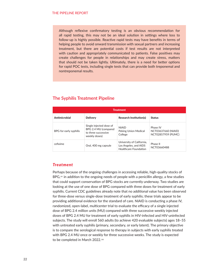Although reflexive confirmatory testing is an obvious recommendation for all rapid testing, this may not be an ideal solution in settings where loss to follow-up is highly possible. Reactive rapid tests may have benefits in terms of helping people to avoid onward transmission with sexual partners and increasing treatment, but there are potential costs if test results are not interpreted with caution and appropriately communicated to patients. False positives may create challenges for people in relationships and may create stress, matters that should not be taken lightly. Ultimately, there is a need for better options for rapid POC tests, including single tests that can provide both treponemal and nontreponemal results.

| <b>Treatment</b>       |                                                                                         |                                                                                    |                                                              |  |  |
|------------------------|-----------------------------------------------------------------------------------------|------------------------------------------------------------------------------------|--------------------------------------------------------------|--|--|
| Antimicrobial          | <b>Delivery</b>                                                                         | <b>Research Institution(s)</b>                                                     | <b>Status</b>                                                |  |  |
| BPG for early syphilis | Single injected dose of<br>BPG 2.4 MU (compared<br>to three successive<br>weekly doses) | <b>NIAID</b><br>Peking Union Medical<br>College                                    | Phase IV<br>NCT03637660 (NIAID)<br><b>NCT02857959 (PUMC)</b> |  |  |
| cefixime               | Oral, 400 mg capsule                                                                    | University of California,<br>Los Angeles, and AIDS<br><b>Healthcare Foundation</b> | Phase II<br>NCT03660488                                      |  |  |

# **The Syphilis Treatment Pipeline**

### *Treatment*

Perhaps because of the ongoing challenges in accessing reliable, high-quality stocks of BPG,<sup>101</sup> in addition to the ongoing needs of people with a penicillin allergy, a few studies that could support conservation of BPG stocks are currently underway. Two studies are looking at the use of one dose of BPG compared with three doses for treatment of early syphilis. Current CDC guidelines already note that no additional value has been observed for three-dose versus single-dose treatment of early syphilis; these trials appear to be providing additional evidence for the standard of care. NIAID is conducting a phase IV, randomized, open-label, multicenter trial to evaluate the efficacy of a single injected dose of BPG 2.4 million units (MU) compared with three successive weekly injected doses of BPG 2.4 MU for treatment of early syphilis in HIV-infected and HIV-uninfected subjects. The study will enroll 560 adults (to achieve 420 evaluable subjects) ages 18–55 with untreated early syphilis (primary, secondary, or early latent). The primary objective is to compare the serological response to therapy in subjects with early syphilis treated with BPG 2.4 MU once or weekly for three successive weeks. The study is expected to be completed in March 2022.102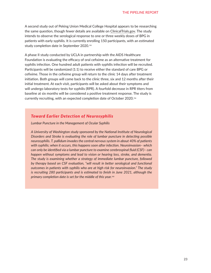A second study out of Peking Union Medical College Hospital appears to be researching the same question, though fewer details are available on ClinicalTrials.gov. The study intends to observe the serological response to one or three weekly doses of BPG in patients with early syphilis. It is currently enrolling 150 participants, with an estimated study completion date in September 2020.<sup>103</sup>

A phase II study conducted by UCLA in partnership with the AIDS Healthcare Foundation is evaluating the efficacy of oral cefixime as an alternative treatment for syphilis infection. One hundred adult patients with syphilis infection will be recruited. Participants will be randomized (1:1) to receive either the standard of care BPG or cefixime. Those in the cefixime group will return to the clinic 14 days after treatment initiation. Both groups will come back to the clinic three, six and 12 months after their initial treatment. At each visit, participants will be asked about their symptoms and will undergo laboratory tests for syphilis (RPR). A fourfold decrease in RPR titers from baseline at six months will be considered a positive treatment response. The study is currently recruiting, with an expected completion date of October 2020.<sup>104</sup>

# *Toward Earlier Detection of Neurosyphilis*

*Lumbar Puncture in the Management of Ocular Syphilis*

*A University of Washington study sponsored by the National Institute of Neurological Disorders and Stroke is evaluating the role of lumbar puncture in detecting possible neurosyphilis. T. pallidum invades the central nervous system in about 40% of patients with syphilis; when it occurs, this happens soon after infection. Neuroinvasion– which can only be identified via a lumbar puncture to examine cerebrospinal fluid (CSF)– can happen without symptoms and lead to vision or hearing loss, stroke, and dementia. The study is examining whether a strategy of immediate lumbar puncture, followed by therapy based on CSF evaluation, "will result in better serological and functional outcomes in patients with syphilis who are at high risk for neuroinvasion." The study is recruiting 280 participants and is estimated to finish in June 2021, although the primary completion date is set for the middle of this year.*105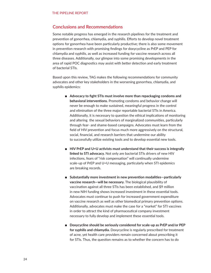# **Conclusions and Recommendations**

Some notable progress has emerged in the research pipelines for the treatment and prevention of gonorrhea, chlamydia, and syphilis. Efforts to develop novel treatment options for gonorrhea have been particularly productive; there is also some movement in prevention research with promising findings for doxycycline as PrEP and PEP for chlamydia and syphilis, as well as increased funding for vaccine research across all three diseases. Additionally, our glimpse into some promising developments in the area of rapid POC diagnostics may assist with better detection and early treatment of bacterial STIs.

Based upon this review, TAG makes the following recommendations for community advocates and other key stakeholders in the worsening gonorrhea, chlamydia, and syphilis epidemics:

- **Advocacy to fight STIs must involve more than repackaging condoms and behavioral interventions.** Promoting condoms and behavior change will never be enough to make sustained, meaningful progress in the control and elimination of the three major reportable bacterial STIs in America. Additionally, it is necessary to question the ethical implications of monitoring and altering the sexual behaviors of marginalized communities, particularly through fear- and shame-based campaigns. Advocates must learn from the field of HIV prevention and focus much more aggressively on the structural, social, financial, and research barriers that undermine our ability to successfully utilize existing tools and to develop essential new tools.
- **HIV PrEP and U=U activists must understand that their success is integrally linked to STI advocacy.** Not only are bacterial STIs drivers of new HIV infections, fears of "risk compensation" will continually undermine scale-up of PrEP and U=U messaging, particularly when STI epidemics are breaking records.
- **Substantially more investment in new prevention modalities—particularly vaccine research—will be necessary.** The biological plausibility of vaccination against all three STIs has been established, and \$9 million in new NIH funding shows increased investment in these essential tools. Advocates must continue to push for increased government expenditure on vaccine research as well as other biomedical primary prevention options. Additionally, advocates must make the case for a "market" for STI vaccines in order to attract the kind of pharmaceutical company investment necessary to fully develop and implement these essential tools.
- **Doxycycline should be seriously considered for scale-up as PrEP and/or PEP for syphilis and chlamydia.** Doxycycline is regularly prescribed for treatment of acne, yet health care providers remain concerned about prescribing it for STIs. Thus, the question remains as to whether the concern has to do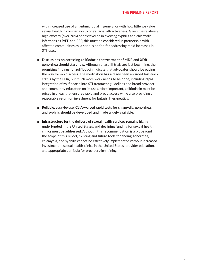with increased use of an antimicrobial in general or with how little we value sexual health in comparison to one's facial attractiveness. Given the relatively high efficacy (over 70%) of doxycycline in averting syphilis and chlamydia infections as PrEP and PEP, this must be considered in partnership with affected communities as a serious option for addressing rapid increases in STI rates.

- **Discussions on accessing zoliflodacin for treatment of MDR and XDR gonorrhea should start now.** Although phase III trials are just beginning, the promising findings for zoliflodacin indicate that advocates should be paving the way for rapid access. The medication has already been awarded fast-track status by the FDA, but much more work needs to be done, including rapid integration of zoliflodacin into STI treatment guidelines and broad provider and community education on its uses. Most important, zoliflodacin must be priced in a way that ensures rapid and broad access while also providing a reasonable return on investment for Entasis Therapeutics.
- **Reliable, easy-to-use, CLIA-waived rapid tests for chlamydia, gonorrhea, and syphilis should be developed and made widely available.**
- **Infrastructure for the delivery of sexual health services remains highly underfunded in the United States, and declining funding for sexual health clinics must be addressed.** Although this recommendation is a bit beyond the scope of this report, existing and future tools for ending gonorrhea, chlamydia, and syphilis cannot be effectively implemented without increased investment in sexual health clinics in the United States, provider education, and appropriate curricula for providers-in-training.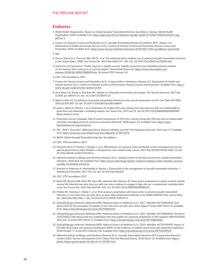### *Endnotes*

- 1. World Health Organization. Report on Global Sexually Transmitted Infection Surveillance. Geneva: World Health Organization; 2018. Available from: https://apps.who.int/iris/bitstream/handle/10665/277258/9789241565691-eng. pdf?ua=1
- 2. Centers for Disease Control and Prevention (U.S.). Sexually Transmitted Disease Surveillance 2017. Atlanta: U.S. Department of Health and Human Services (U.S.), Centers for Disease Control and Prevention Disease Control and Prevention. 2018. Available from: https://www.cdc.gov/nchhstp/newsroom/2018/2017-STD-surveillance-report.html.
- 3. Ibid.
- 4. Owusu-Edusei K Jr, Chesson HW, Gift TL, et al. The estimated direct medical cost of selected sexually transmitted infections in the United States, 2008. Sex Transm Dis. 2013 Mar;40(3):197–201. Doi :10.1097/OLQ.0b013e318285c6d2.
- 5. University of Connecticut. "Finally, hope for a syphilis vaccine: Syphilis researchers have identified exterior proteins on the bacteria that could serve as vaccine targets." ScienceDaily [Internet]. https://www.sciencedaily.com/ releases/2018/06/180612080020.htm. (Accessed 2019 January 14).
- 6. CDC. STD Surveillance 2017.
- 7. Centers for Disease Control and Prevention (U.S.). Conjunctivitis in Newborns. Atlanta: U.S. Department of Health and Human Services (U.S.), Centers for Disease Control and Prevention Disease Control and Prevention. Available from: https:// www.cdc.gov/conjunctivitis/newborns.html
- 8. de la Maza LM, Zhong G, Brunham RC. Update on Chlamydia trachomatis vaccinology. Clin Vaccine Immunol. 2017 Apr 5;24(4). pii: e00543-16. doi: 10.1128/CVI.00543-16.
- 9. Ward H, Rönn M. Contribution of sexually transmitted infections to the sexual transmission of HIV. Curr Opin HIV AIDS. 2010 Jul;5(4):305–10. doi: 10.1097/COH.0b013e32833a8844.
- 10. Jones J, Weiss K, Mermin J, et al. Proportion of incident HIV cases among men who have sex with men attributable to gonorrhea and chlamydia: a modeling analysis. Sex Transm Dis. 2019 Jan 19. doi:10.1097/OLQ.0000000000000980. [Epub ahead of print]
- 11. Prevention Access Campaign. Risk of sexual transmission of HIV from a person living with HIV who has an undetectable viral load: messaging primer & consensus statement [Internet]. 2018 August 23. Available from: https://www. preventionaccess.org/consensus..
- 12. Poz. "AHF's 'Trust Him?' Billboards Aim to Address Infidelity and HIV." Poz Magazine [Internet]. 2015 June 17. Available from: https://www.poz.com/article/trust-him-billboards-27394-8272
- 13. WHO. Global Sexually Transmitted Infection Surveillance.
- 14. CDC. STD Surveillance 2017.
- 15. Petousis-Harris H, Paynter J, Morgan J, et al. Effectiveness of a group B outer membrane vesicle meningococcal vaccine against gonorrhoea in New Zealand: a retrospective case-control study. Lancet. 2017 Sep 30;390(10102):1603–10. doi: 10.1016/S0140-6736(17)31449-6.
- 16. National Institute of Allergy and Infectious Diseases (U.S.). Seeking centers to develop vaccines for sexually transmitted infections. 2018 April 18. Available from: https://www.niaid.nih.gov/grants-contracts/seeking-centers-develop-vaccinessexually-transmitted-infections.
- 17. Peyriere H, Makinson A, Marchandin H, Reynes J. Doxycycline in the management of sexually transmitted infections. J Antimicrob Chemother. 2017 Nov 22. doi: 10.1093/jac/dkx420.
- 18. CDC. STD Surveillance 2017.
- 19. Bolan RK, Beymer MR, Weiss RE, Flynn RP, Leibowitz AA, Klausner JD. Doxycycline prophylaxis to reduce incident syphilis among HIV-infected men who have sex with men who continue to engage in high-risk sex: a randomized, controlled pilot study. Sex Transm Dis. 2015 Feb;42(2):98–103. doi: 10.1097/OLQ.0000000000000216.
- 20. Molina JM, Charreau I, Chidiac C, et al. Post-exposure prophylaxis with doxycycline to prevent sexually transmitted infections in men who have sex with men: an open-label randomised substudy of the ANRS IPERGAY trial. Lancet Infect Dis. 2018 Mar;18(3):308–7. doi: 10.1016/S1473-3099(17)30725-9.
- 21. ClinicalTrials.gov [Internet]. Bethesda (MD): National Library of Medicine (U.S.). 2017. Identifier NCT02864550, Oral doxycycline for the prevention of syphilis in men who have sex with men; 2016 August 9 (cited 2019 March 5). Available from: https://clinicaltrials.gov/ct2/show/NCT02864550.
- 22. ClinicalTrials.gov [Internet]. Bethesda (MD): National Library of Medicine (U.S.). 2017. Identifier NCT02844634, Tenofovir/ emtricitabine with doxycycline for combination HIV and syphilis pre-exposure prophylaxis in HIV-negative MSM (DuDHS); 2016 July 22 (cited 2019 March 5). Available from: https://clinicaltrials.gov/ct2/show/NCT02844634..
- 23. ClinicalTrials.gov [Internet]. Bethesda (MD): National Library of Medicine (U.S.). 2019. Identifier NCT03709459, Impact of the daily doxycycline pre-exposure prophylaxis (PrEP) on the incidence of syphilis, gonorrhoea and chlamydia (syphilaxis); 2018 October 17 (cited 2019 February 23). Available from: https://clinicaltrials.gov/ct2/show/NCT03709459.
- 24. National Institute of Allergy and Infectious Diseases (U.S.). Sexually Transmitted Infections (STI) Cooperative Research Centers (CRC): Vaccine Development (U19 Clinical Trial Not Allowed) [Grant]. 2018 March 15. Available from: https:// grants.nih.gov/grants/guide/rfa-files/rfa-ai-18-005.html.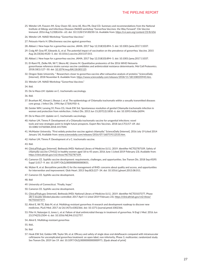- 25. Wetzler LM, Feavers IM, Gray-Owen SD, Jerse AE, Rice PA, Deal CD. Summary and recommendations from the National Institute of Allergy and Infectious Diseases (NIAID) workshop "Gonorrhea Vaccines: the Way Forward". Clin Vaccine Immunol. 2016 Aug 5;23(8):656–.63. doi: 10.1128/CVI.00230-16. Available from: https://cvi.asm.org/content/23/8/656
- 26. Wetzler LM. NIAID Workshop "Gonorrhea Vaccines."
- 27. Petousis-Harris H. Effectiveness vaccine against gonorrhea.
- 28. Abbasi J. New hope for a gonorrhea vaccine. JAMA. 2017 Sep 12;318(10):894–5. doi: 10.1001/jama.2017.11037.
- 29. Craig AP, Gray RT, Edwards JL, et al. The potential impact of vaccination on the prevalence of gonorrhea. Vaccine. 2015 Aug 26;33(36):4520–5. doi: 10.1016/j.vaccine.2015.07.015.
- 30. Abbasi J. New hope for a gonorrhea vaccine. JAMA. 2017 Sep 12;318(10):894–5. doi: 10.1001/jama.2017.11037.
- 31. El-Rami FE, Zielke RA, Wi T, Sikora AE, Unemo M. Quantitative proteomics of the 2016 WHO Neisseria gonorrhoeae reference strains surveys vaccine candidates and antimicrobial resistance determinants. Mol Cell Proteomics. 2018;18(1):127–50. doi: 10.1074/mcp.RA118.001125
- 32. Oregon State University. " Researchers closer to gonorrhea vaccine after exhaustive analysis of proteins." ScienceDaily [Internet]. 2018 November 8. Available from: https://www.sciencedaily.com/releases/2018/11/181108105945.htm.
- 33. Wetzler LM. NIAID Workshop "Gonorrhea Vaccines."

34. Ibid.

35. De la Maza LM. Update on C. trachomatis vaccinology.

36. Ibid.

- 37. Brunham RC, Kimani J, Bwayo J, et al. The epidemiology of Chlamydia trachomatis within a sexually transmitted diseases core group. J Infect Dis. 1996 Apr;173(4):950–6.
- 38. Geisler WM, Lensing SY, Press CG, Hook EW 3rd. Spontaneous resolution of genital Chlamydia trachomatis infection in women and protection from reinfection. J Infect Dis. 2013 Jun 15;207(12):1850–6. doi: 10.1093/infdis/jit094.
- 39. De la Maza LM. Update on C. trachomatis vaccinology.
- 40. Hafner LM, Timms P. Development of a Chlamydia trachomatis vaccine for urogenital infections: novel tools and new strategies point to bright future prospects. Expert Rev Vaccines. 2018 Jan;17(1):57–69. doi: 10.1080/14760584.2018.1417044.
- 41. McMaster University. "First widely protective vaccine against chlamydia." ScienceDaily [Internet]. 2016 July 19 (cited 2014 January 14). Available from: www.sciencedaily.com/releases/2016/07/160719112535.htm.
- 42. Hafner LM, Timms P. Development of a C. trachomatis vaccine.

43. Ibid.

- 44. ClinicalTrials.gov [Internet]. Bethesda (MD): National Library of Medicine (U.S.). 2019. Identifier NCT02787109, Safety of chlamydia vaccine CTH522 in healthy women aged 18 to 45 years; 2016 June 1 (cited 2019 February 23). Available from: https://clinicaltrials.gov/ct2/show/NCT02787109.
- 45. Cameron CE. Syphilis vaccine development: requirements, challenges, and opportunities. Sex Transm Dis. 2018 Sep;45(9S Suppl 1):S17–9. doi: 10.1097/OLQ.0000000000000831.
- 46. Wyber R, et al. Benzathine penicillin G for the management of RHD: concerns about quality and access, and opportunities for intervention and improvement. Glob Heart. 2013 Sep;8(3):227–34. doi: 10.1016/j.gheart.2013.08.011.
- 47. Cameron CE. Syphilis vaccine development.

48. Ibid

- 49. University of Connecticut. "Finally, hope."
- 50. Cameron CE. Syphilis vaccine development.
- 51. ClinicalTrials.gov [Internet]. Bethesda (MD): National Library of Medicine (U.S.). 2019. Identifier NCT03107377, Phase 2B/3 double-blinded placebo-controlled; 2017 April 11 (cited 2019 February 23). https://clinicaltrials.gov/ct2/show/ NCT03107377.
- 52. Alirol E, Wi TE, Bala M, et al. Multidrug-resistant gonorrhea: A research and development roadmap to discover new medicines. PLoS Med. 2017 Jul 26;14(7):e1002366. doi: 10.1371/journal.pmed.1002366.
- 53. Fifer H, Natarajan U, Jones L, et al. Failure of dual antimicrobial therapy in treatment of gonorrhea. N Engl J Med. 2016 Jun 23;374(25):2504–6. doi: 10.1056/NEJMc1512757.
- 54. Alirol E. Multidrug-resistant gonorrhea

55. Ibid..

56. Ibid

57. Hook EW 3rd, Golden MR, Taylor SN, et al. Efficacy and safety of single dose oral delafloxacin compared with intramuscular ceftriaxone for uncomplicated gonorrhea treatment: an open-label, non-inferiority, Phase 3, multicenter, randomized study. Sex Transm Dis. 2019 Jan 19. doi: 10.1097/OLQ.0000000000000971. [Epub ahead of print]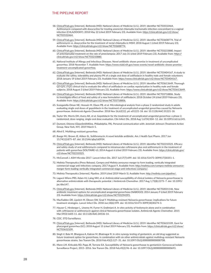- 58. ClinicalTrials.gov [Internet]. Bethesda (MD): National Library of Medicine (U.S.). 2019. Identifier NCT03532464, Azithromycin compared with doxycycline for treating anorectal chlamydia trachomatis infection concomitant to a vaginal infection (CHLAZIDOXY); 2018 May 22 (cited 2019 February 23). Available from: https://clinicaltrials.gov/ct2/show/ NCT03532464.
- 59. ClinicalTrials.gov [Internet]. Bethesda (MD): National Library of Medicine (U.S.). 2019. Identifier NCT03608774, Trial of azithromycin vs. doxycycline for the treatment of rectal chlamydia in MSM; 2018 August 1 (cited 2019 February 23). Available from: https://clinicaltrials.gov/ct2/show/NCT03608774.
- 60. ClinicalTrials.gov [Internet]. Bethesda (MD): National Library of Medicine (U.S.). 2019. Identifier NCT03233880, Impact of antichlamydial treatment on the rate of preeclampsia; 2017 July 31 (cited 2019 February 23). Available from: https:// clinicaltrials.gov/ct2/show/NCT03233880.
- 61. National Institute of Allergy and Infectious Diseases. Novel antibiotic shows promise in treatment of uncomplicated gonorrhea. 2018 November 7. Available from: https://www.niaid.nih.gov/news-events/novel-antibiotic-shows-promisetreatment-uncomplicated-gonorrhea.
- 62. ClinicalTrials.gov [Internet]. Bethesda (MD): National Library of Medicine (U.S.). 2019. Identifier NCT03404167, A study to evaluate the safety, tolerability and plasma PK of a single oral dose of zoliflodacin in healthy male and female volunteers; 2018 January 19 (cited 2019 February 23). Available from: https://www.clinicaltrials.gov/ct2/show/NCT03404167.
- 63. ClinicalTrials.gov [Internet]. Bethesda (MD): National Library of Medicine (U.S.). 2019. Identifier NCT03613649, Thorough QT/QTC (TQT) clinical trial to evaluate the effect of zoliflodacin on cardiac repolarization in healthy male and female subjects; 2018 August 3 (cited 2019 February 23). Available from: https://www.clinicaltrials.gov/ct2/show/NCT03613649.
- 64. ClinicalTrials.gov [Internet]. Bethesda (MD): National Library of Medicine (U.S.). 2019. Identifier NCT03718806, Study to investigate effect of food and safety of a new formulation of zoliflodacin; 2018 October 24 (cited 2019 February 23). Available from: https://clinicaltrials.gov/ct2/show/NCT03718806.
- 65. Scangarella-Oman NE, Hossain M, Dixon PB, et al. Microbiological analysis from a phase 2 randomized study in adults evaluating single oral doses of gepotidacin in the treatment of uncomplicated urogenital gonorrhea caused by Neisseria gonorrhoeae. Antimicrob Agents Chemother. 2018 Nov 26;62(12). pii: e01221-18. doi: 10.1128/AAC.01221-18.
- 66. Taylor SN, Morris DH, Avery AK, et al. Gepotidacin for the treatment of uncomplicated urogenital gonorrhea: a phase 2, randomized, dose-ranging, single-oral dose evaluation. Clin Infect Dis. 2018 Aug 1;67(4):504–12. doi: 10.1093/cid/ciy145.
- 67. Dumont, Etienne (GlaxoSmithKline, Philadelphia, PA). Personal communication with: Jeremiah Johnson (Treatment Action Group, New York, NY). 2019 March 5.
- 68. Alirol E. Multidrug-resistant gonorrhea.
- 69. Buege MJ, Brown JE, Aitken SL. Solithromycin: A novel ketolide antibiotic. Am J Health Syst Pharm. 2017 Jun 15;74(12):875–87. doi: 10.2146/ajhp160934.
- 70. ClinicalTrials.gov [Internet]. Bethesda (MD): National Library of Medicine (U.S.). 2019. Identifier NCT02210325, Efficacy and safety study of oral solithromycin compared to intramuscular ceftriaxone plus oral azithromycin in the treatment of patients with gonorrhea (SOLITAIRE-U); 2014 August 6 (cited 2019 February 23). Available from: https://clinicaltrials.gov/ ct2/show/NCT02210325.
- 71. McConnell J. ASM Microbe 2017. Lancet Infect Dis. 2017 Jul;17(7):699. doi: 10.1016/S1473-3099(17)30351-1.
- 72. Melinta Therapeutics (Press Release). Cempra and Melinta announce merger to form leading, vertically integrated commercial-stage anti-infectives company. 2017 August 9. Available from: http://melinta.com/cempra-melinta-announcemerger-form-leading-vertically-integrated-commercial-stage-anti-infectives-company/.
- 73. Melinta Therapeutics [Internet]. Pipeline. 2019 (cited 2019 March 5). Available from: http://melinta.com/pipeline/.
- 74. Lagacé-Wiens PRS, Adam HJ, Laing NM, et al. Antimicrobial susceptibility of clinical isolates of Neisseria gonorrhoeae to alternative antimicrobials with therapeutic potential. J Antimicrob Chemother. 2017 Aug 1;72(8):2273–7. doi: 10.1093/ iac/dkx147
- 75. ClinicalTrials.gov [Internet]. Bethesda (MD): National Library of Medicine (U.S.). 2019. Identifier NCT02031146, New antibiotic treatment options for uncomplicated anogenital gonorrhoea (NABOGO); 2014 January 9 (cited 2019 February 23). Available from: https://clinicaltrials.gov/ct2/show/NCT03294395.
- 76. MacFadden DR, Lipsitch M, Olesen SW, Grad Y. Multidrug-resistant Neisseria gonorrhoeae: implications for future treatment strategies. Lancet Infect Dis. 2018 Jun;18(6):599. doi: 10.1016/S1473-3099(18)30274-3.
- 77. Hauser C, Hirzberger L, Unemo M, Furrer H, Endimiani A. In vitro activity of fosfomycin alone and in combination with ceftriaxone or azithromycin against clinical Neisseria gonorrhoeae isolates. Antimicrob Agents Chemother. 2015 Mar;59(3):1605-11. doi: 10.1128/AAC.04536-14.
- 78. CDC. STD Surveillance.
- 79. ClinicalTrials.gov [Internet]. Bethesda (MD): National Library of Medicine (U.S.). 2019. Identifier NCT03632109, Gent for pharyngeal gonorrhea (GC); 2018 August 15 (cited 2019 February 23). Available from: https://clinicaltrials.gov/ct2/show/ NCT03632109.
- 80. Singh V, Bala M, Bhargava A, Kakran M, Bhatnagar R. In vitro synergy testing of gentamicin, an old drug suggested as future treatment option for gonorrhoea, in combination with six other antimicrobials against multidrug-resistant Neisseria gonorrhoeae strains. Sex Transm Dis. 2018 Feb;45(2):127–31. doi: 10.1097/OLQ.0000000000000708.
- 81. Mann LM, Kirkcaldy RD, Papp JR, Torrone EA. Susceptibility of Neisseria gonorrhoeae to gentamicin-Gonococcal Isolate Surveillance Project, 2015–2016. Sex Transm Dis. 2018 Feb;45(2):96–8. doi: 10.1097/OLQ.0000000000000693.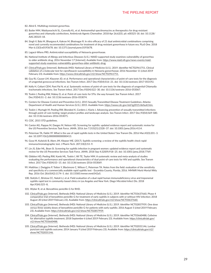- 82. Alirol E. Multidrug-resistant gonorrhea.
- 83. Butler MM, Waidyarachchi SL, Connolly KL, et al. Aminomethyl spectinomycins as therapeutics for drug-resistant gonorrhea and chlamydia coinfections. Antimicrob Agents Chemother. 2018 Apr 26;62(5). pii: e00325-18. doi: 10.1128/ AAC.00325-18.
- 84. Singh V, Bala M, Bhargava A, Kakran M, Bhatnagar R. In vitro efficacy of 21 dual antimicrobial combinations comprising novel and currently recommended combinations for treatment of drug resistant gonorrhoea in future era. PLoS One. 2018 Mar 6;13(3):e0193678. doi: 10.1371/journal.pone.0193678.
- 85. Lagacé-Wiens PRS. Antimicrobial susceptibility of Neisseria gonorrhoeae.
- 86. National Institute of Allergy and Infectious Diseases (U.S.). NIAID-supported study examines vulnerability of gonorrhea to older antibiotic drug. 2016 November 17 [Internet]. Available from: https://www.niaid.nih.gov/news-events/niaidsupported-study-examines-vulnerability-gonorrhea-older-antibiotic-drug.
- 87. ClinicalTrials.gov [Internet]. Bethesda (MD): National Library of Medicine (U.S.). 2019. Identifier NCT02961751, Clinical validation of a molecular test for ciprofloxacin-susceptibility in Neisseria gonorrhoeae; 2016 November 11 (cited 2019 February 23). Available from: https://www.clinicaltrials.gov/ct2/show/NCT02961751.
- 88. Guy RJ, Causer LM, Klausner JD, et al. Performance and operational characteristics of point-of-care tests for the diagnosis of urogenital gonococcal infections. Sex Transm Infect. 2017 Dec;93(S4):S16–21. doi: 10.1136/sextrans-2017-053192.
- 89. Kelly H, Coltart CEM, Pant Pai N, et al. Systematic reviews of point-of-care tests for the diagnosis of urogenital Chlamydia trachomatis infections. Sex Transm Infect. 2017 Dec;93(S4):S22–30. doi: 10.1136/sextrans-2016-053067.
- 90. Toskin I, Peeling RW, Mabey D, et al. Point-of-care tests for STIs: the way forward. Sex Transm Infect. 2017 Dec;93(S4):S1–2. doi: 10.1136/sextrans-2016-053074.
- 91. Centers for Disease Control and Prevention (U.S.). 2015 Sexually Transmitted Disease Treatment Guidelines. Atlanta: Department of Health and Human Services (U.S.); 2015. Available from: https://www.cdc.gov/std/tg2015/default.htm.
- 92. Toskin I, Murtagh M, Peeling RW, Blondeel K, Cordero J, Kiarie J. Advancing prevention of sexually transmitted infections through point-of-care testing: target product profiles and landscape analysis. Sex Transm Infect. 2017 Dec;93(S4):S69-S80. doi: 10.1136/sextrans-2016-053071.
- 93. CDC. 2015 STD guidelines.
- 94. Cantor AG, Pappas M, Daeges M, Nelson HD. Screening for syphilis: updated evidence report and systematic review for the US Preventive Services Task Force. JAMA. 2016 Jun 7;315(21):2328–37. doi: 10.1001/jama.2016.4114.
- 95. Peterman TA, Fakile YF. What is the use of rapid syphilis tests in the United States? Sex Transm Dis. 2016 Mar;43(3):201–3. doi: 10.1097/OLQ.0000000000000413.
- 96. Goza M, Kulwicki B, Akers JM, Klepser ME. (2017). Syphilis screening: a review of the syphilis health check rapid immunochromatographic test. J Pharm Tech. 207;33(2):53–9.
- 97. Lin JS, Eder ML, Bean SI. Screening for syphilis infection in pregnant women: updated evidence report and systematic review for the US Preventive Services Task Force. JAMA. 2018 Sep 4;320(9):918–25. doi: 10.1001/jama.2018.7769.
- 98. Gliddon HD, Peeling RW, Kamb ML, Toskin I, Wi TE, Taylor MM. A systematic review and meta-analysis of studies evaluating the performance and operational characteristics of dual point-of-care tests for HIV and syphilis. Sex Transm Infect. 2017 Dec;93(S4):S3–15. doi: 10.1136/sextrans-2016-053069.
- 99. Matthias J, Dwiggins P, Totten Y, Blackmore C, Wilson C, Peterman TA. Notes from the field: evaluation of the sensitivity and specificity of a commercially available rapid syphilis test - Escambia County, Florida, 2016. MMWR Morb Mortal Wkly Rep. 2016 Oct 28;65(42):1174–5. doi: 10.15585/mmwr.mm6542a5.
- 100. Stafylis C, Bristow CC, Natoli LJ, et al. Field evaluation of a dual rapid human immunodeficiency virus and treponemal syphilis rapid test in community-based clinics in Los Angeles and New York. Diagn Microbiol Infect Dis. 2018 Apr;93(4):325–8.
- 101. Wyber R, et al. Benzathine penicillin G for RHD.
- 102. ClinicalTrials.gov [Internet]. Bethesda (MD): National Library of Medicine (U.S.). 2019. Identifier NCT03637660, Phase 4 comparative trial of benzathine penicillin G for treatment of early syphilis in subjects with or without HIV infection; 2018 August 20 (cited 2019 February 23). Available from: https://clinicaltrials.gov/ct2/show/NCT03637660.
- 103. ClinicalTrials.gov [Internet]. Bethesda (MD): National Library of Medicine (U.S.). 2019. Identifier NCT02857959, One dose versus three weekly doses of benzathine penicillin G for patients with early syphilis; 2016 August 5 (cited 2019 February 23). Available from: https://clinicaltrials.gov/ct2/show/NCT02857959.
- 104. ClinicalTrials.gov [Internet]. Bethesda (MD): National Library of Medicine (U.S.). 2019. Identifier NCT03660488, Cefixime for alternative syphilis treatment; 2018 September 6 (cited 2019 February 23). Available from: https://clinicaltrials.gov/ ct2/show/NCT03660488.
- 105. ClinicalTrials.gov [Internet]. Bethesda (MD): National Library of Medicine (U.S.). 2019. Identifier NCT02031146, Lumbar puncture and syphilis outcome; 2014 January 9 (cited 2019 February 23). Available from: https://clinicaltrials.gov/ct2/ show/NCT02031146.